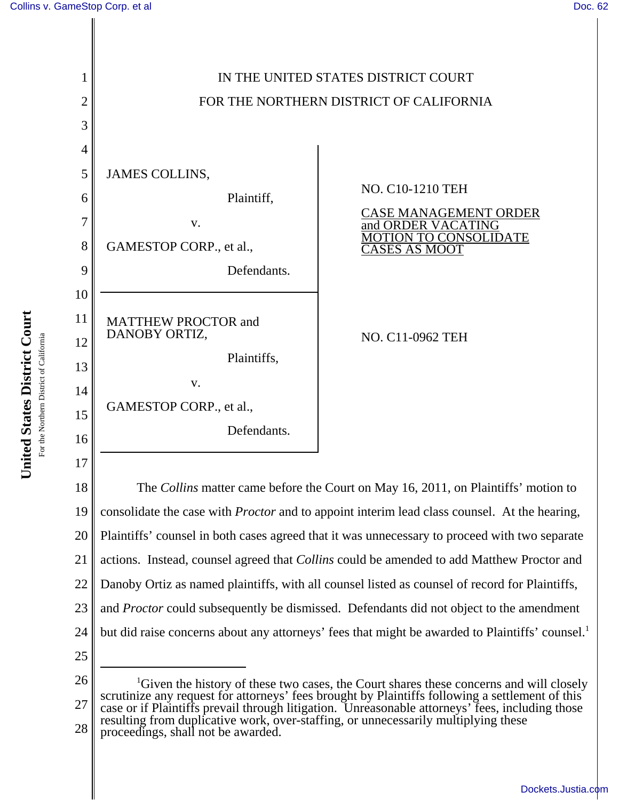

18 19 20 21 22 23 24 25 The *Collins* matter came before the Court on May 16, 2011, on Plaintiffs' motion to consolidate the case with *Proctor* and to appoint interim lead class counsel. At the hearing, Plaintiffs' counsel in both cases agreed that it was unnecessary to proceed with two separate actions. Instead, counsel agreed that *Collins* could be amended to add Matthew Proctor and Danoby Ortiz as named plaintiffs, with all counsel listed as counsel of record for Plaintiffs, and *Proctor* could subsequently be dismissed. Defendants did not object to the amendment but did raise concerns about any attorneys' fees that might be awarded to Plaintiffs' counsel.<sup>1</sup>

26

27 28 <sup>1</sup>Given the history of these two cases, the Court shares these concerns and will closely scrutinize any request for attorneys' fees brought by Plaintiffs following a settlement of this case or if Plaintiffs prevail through litigation. Unreasonable attorneys' fees, including those resulting from duplicative work, over-staffing, or unnecessarily multiplying these proceedings, shall not be awarded.

United States District Court **United States District Court** For the Northern District of California For the Northern District of California